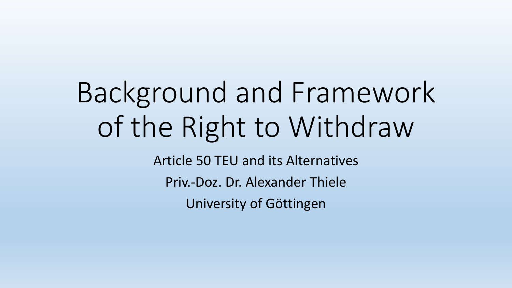# Background and Framework of the Right to Withdraw

Article 50 TEU and its Alternatives

Priv.-Doz. Dr. Alexander Thiele

University of Göttingen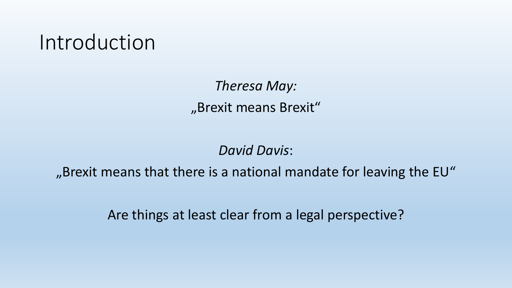#### Introduction

*Theresa May:* "Brexit means Brexit"

*David Davis*:

"Brexit means that there is a national mandate for leaving the EU"

Are things at least clear from a legal perspective?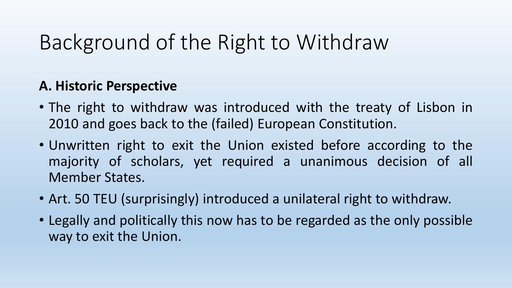#### **A. Historic Perspective**

- The right to withdraw was introduced with the treaty of Lisbon in 2010 and goes back to the (failed) European Constitution.
- Unwritten right to exit the Union existed before according to the majority of scholars, yet required a unanimous decision of all Member States.
- Art. 50 TEU (surprisingly) introduced a unilateral right to withdraw.
- Legally and politically this now has to be regarded as the only possible way to exit the Union.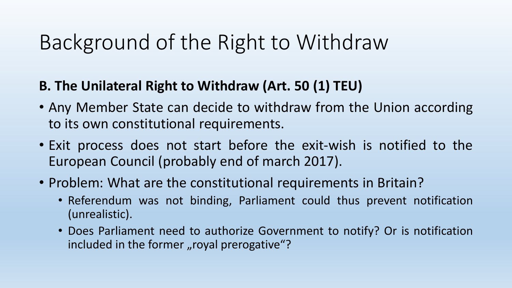#### **B. The Unilateral Right to Withdraw (Art. 50 (1) TEU)**

- Any Member State can decide to withdraw from the Union according to its own constitutional requirements.
- Exit process does not start before the exit-wish is notified to the European Council (probably end of march 2017).
- Problem: What are the constitutional requirements in Britain?
	- Referendum was not binding, Parliament could thus prevent notification (unrealistic).
	- Does Parliament need to authorize Government to notify? Or is notification included in the former "royal prerogative"?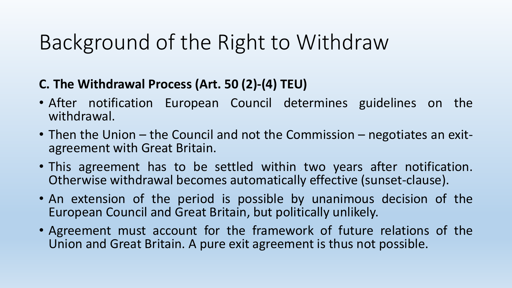#### **C. The Withdrawal Process (Art. 50 (2)-(4) TEU)**

- After notification European Council determines guidelines on the withdrawal.
- Then the Union the Council and not the Commission negotiates an exitagreement with Great Britain.
- This agreement has to be settled within two years after notification. Otherwise withdrawal becomes automatically effective (sunset-clause).
- An extension of the period is possible by unanimous decision of the European Council and Great Britain, but politically unlikely.
- Agreement must account for the framework of future relations of the Union and Great Britain. A pure exit agreement is thus not possible.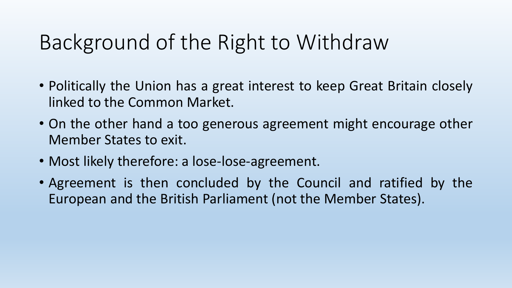- Politically the Union has a great interest to keep Great Britain closely linked to the Common Market.
- On the other hand a too generous agreement might encourage other Member States to exit.
- Most likely therefore: a lose-lose-agreement.
- Agreement is then concluded by the Council and ratified by the European and the British Parliament (not the Member States).